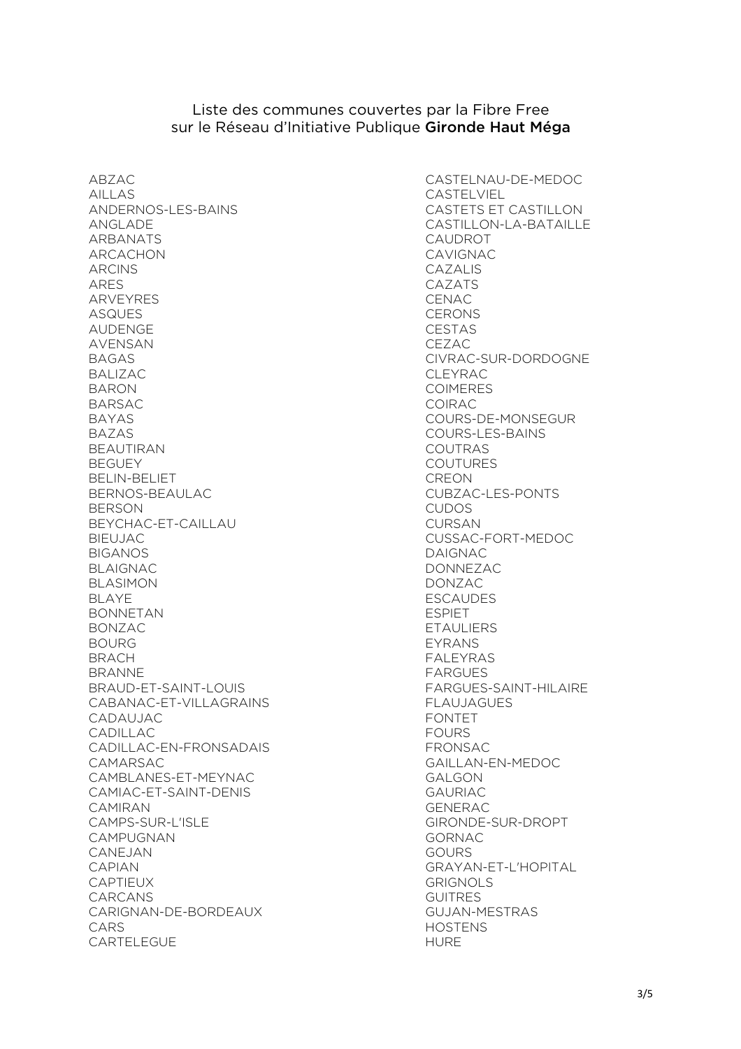## Liste des communes couvertes par la Fibre Free sur le Réseau d'Initiative Publique Gironde Haut Méga

ABZAC AILLAS ANDERNOS-LES-BAINS ANGLADE ARBANATS ARCACHON ARCINS ARES ARVEYRES ASQUES AUDENGE AVENSAN BAGAS BALIZAC BARON BARSAC BAYAS BAZAS BEAUTIRAN **BEGUEY** BELIN-BELIET BERNOS-BEAULAC **BERSON** BEYCHAC-ET-CAILLAU BIEUJAC BIGANOS BLAIGNAC BLASIMON BLAYE BONNETAN BONZAC BOURG BRACH BRANNE BRAUD-ET-SAINT-LOUIS CABANAC-ET-VILLAGRAINS CADAUJAC CADILLAC CADILLAC-EN-FRONSADAIS CAMARSAC CAMBLANES-ET-MEYNAC CAMIAC-ET-SAINT-DENIS CAMIRAN CAMPS-SUR-L'ISLE CAMPUGNAN CANEJAN CAPIAN **CAPTIFUX** CARCANS CARIGNAN-DE-BORDEAUX CARS CARTELEGUE

CASTELNAU-DE-MEDOC CASTELVIEL CASTETS ET CASTILLON CASTILLON-LA-BATAILLE CAUDROT CAVIGNAC CAZALIS CAZATS **CENAC CERONS** CESTAS CEZAC CIVRAC-SUR-DORDOGNE CLEYRAC. COIMERES COIRAC COURS-DE-MONSEGUR COURS-LES-BAINS COUTRAS COUTURES **CREON** CUBZAC-LES-PONTS CUDOS CURSAN CUSSAC-FORT-MEDOC DAIGNAC DONNEZAC DONZAC ESCAUDES ESPIET **ETAULIERS** EYRANS FALEYRAS FARGUES FARGUES-SAINT-HILAIRE FLAUJAGUES FONTET **FOURS** FRONSAC GAILLAN-EN-MEDOC GALGON GAURIAC GENERAC GIRONDE-SUR-DROPT GORNAC GOURS GRAYAN-ET-L'HOPITAL GRIGNOLS **GUITRES** GUJAN-MESTRAS HOSTENS HURE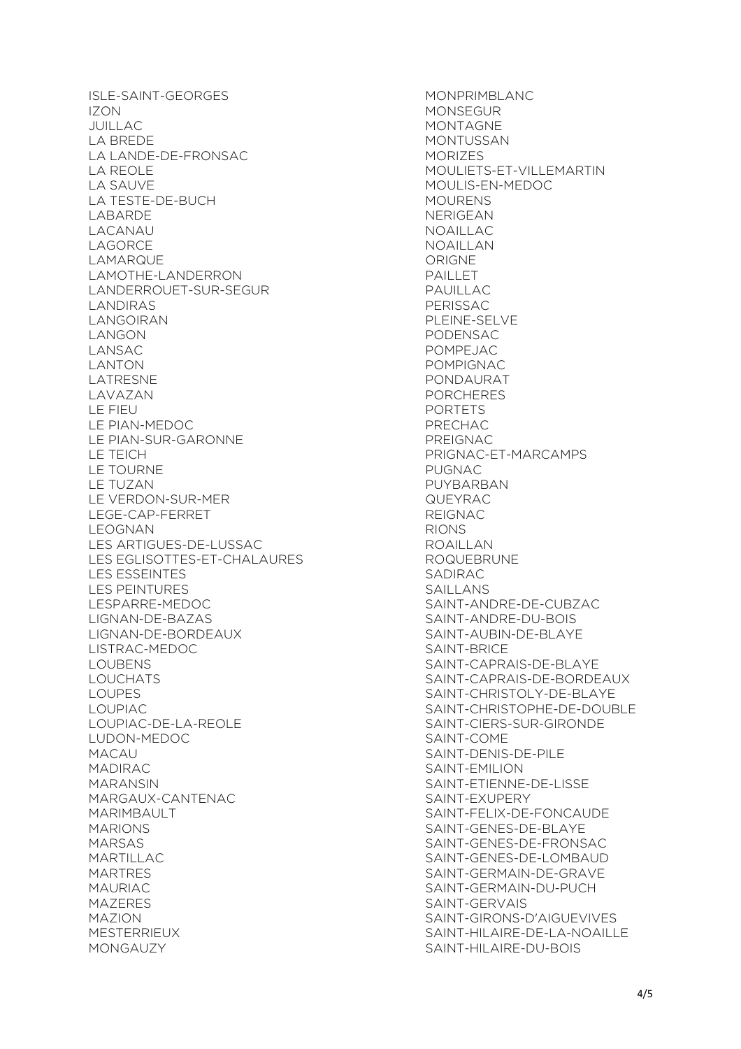ISLE-SAINT-GEORGES IZON JUILLAC LA BREDE LA LANDE-DE-FRONSAC LA REOLE LA SAUVE LA TESTE-DE-BUCH LABARDE LACANAU LAGORCE LAMARQUE LAMOTHE-LANDERRON LANDERROUET-SUR-SEGUR LANDIRAS LANGOIRAN LANGON LANSAC LANTON LATRESNE LAVAZAN LE FIEU LE PIAN-MEDOC LE PIAN-SUR-GARONNE LE TEICH LE TOURNE LE TUZAN LE VERDON-SUR-MER LEGE-CAP-FERRET LEOGNAN LES ARTIGUES-DE-LUSSAC LES EGLISOTTES-ET-CHALAURES LES ESSEINTES LES PEINTURES LESPARRE-MEDOC LIGNAN-DE-BAZAS LIGNAN-DE-BORDEAUX LISTRAC-MEDOC LOUBENS LOUCHATS LOUPES LOUPIAC LOUPIAC-DE-LA-REOLE LUDON-MEDOC MACAU MADIRAC MARANSIN MARGAUX-CANTENAC MARIMBAULT MARIONS MARSAS MARTILLAC MARTRES MAURIAC MAZERES MAZION MESTERRIEUX MONGAUZY

MONPRIMBLANC MONSEGUR MONTAGNE MONTUSSAN MORIZES MOULIETS-ET-VILLEMARTIN MOULIS-EN-MEDOC MOURENS NERIGEAN NOAILLAC NOAILLAN ORIGNE PAILLET PAUILLAC PERISSAC PLEINE-SELVE PODENSAC POMPEJAC POMPIGNAC PONDAURAT **PORCHERES** PORTETS PRECHAC PREIGNAC PRIGNAC-ET-MARCAMPS PUGNAC PUYBARBAN QUEYRAC REIGNAC RIONS ROAILLAN ROQUEBRUNE SADIRAC SAILLANS SAINT-ANDRE-DE-CUBZAC SAINT-ANDRE-DU-BOIS SAINT-AUBIN-DE-BLAYE SAINT-BRICE SAINT-CAPRAIS-DE-BLAYE SAINT-CAPRAIS-DE-BORDEAUX SAINT-CHRISTOLY-DE-BLAYE SAINT-CHRISTOPHE-DE-DOUBLE SAINT-CIERS-SUR-GIRONDE SAINT-COME SAINT-DENIS-DE-PILE SAINT-EMILION SAINT-ETIENNE-DE-LISSE SAINT-EXUPERY SAINT-FELIX-DE-FONCAUDE SAINT-GENES-DE-BLAYE SAINT-GENES-DE-FRONSAC SAINT-GENES-DE-LOMBAUD SAINT-GERMAIN-DE-GRAVE SAINT-GERMAIN-DU-PUCH SAINT-GERVAIS SAINT-GIRONS-D'AIGUEVIVES SAINT-HILAIRE-DE-LA-NOAILLE SAINT-HILAIRE-DU-BOIS